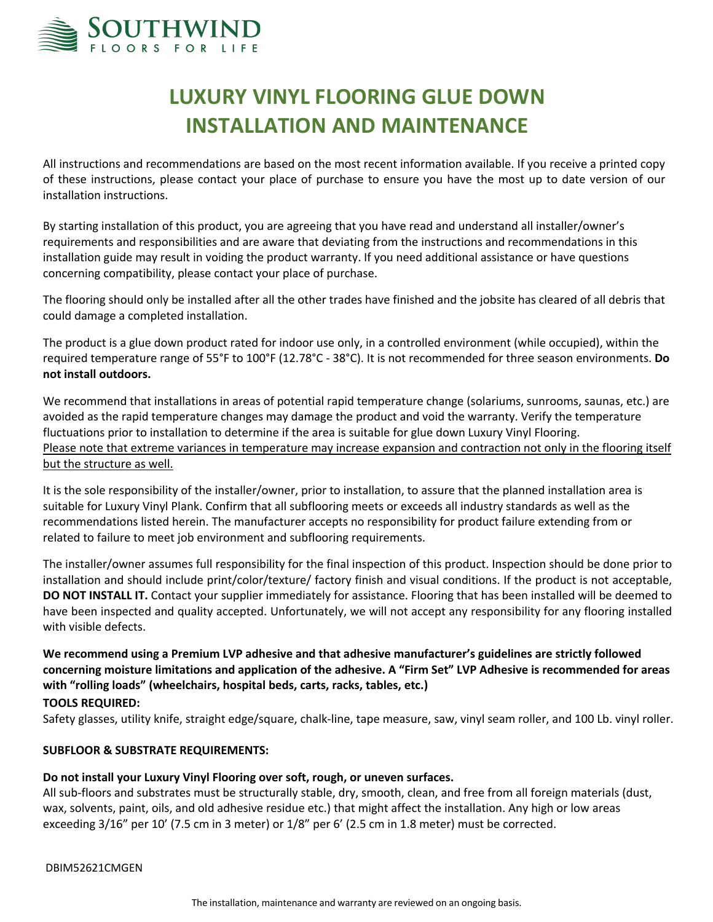

# **LUXURY VINYL FLOORING GLUE DOWN INSTALLATION AND MAINTENANCE**

All instructions and recommendations are based on the most recent information available. If you receive a printed copy of these instructions, please contact your place of purchase to ensure you have the most up to date version of our installation instructions.

By starting installation of this product, you are agreeing that you have read and understand all installer/owner's requirements and responsibilities and are aware that deviating from the instructions and recommendations in this installation guide may result in voiding the product warranty. If you need additional assistance or have questions concerning compatibility, please contact your place of purchase.

The flooring should only be installed after all the other trades have finished and the jobsite has cleared of all debris that could damage a completed installation.

The product is a glue down product rated for indoor use only, in a controlled environment (while occupied), within the required temperature range of 55°F to 100°F (12.78°C - 38°C). It is not recommended for three season environments. **Do not install outdoors.**

We recommend that installations in areas of potential rapid temperature change (solariums, sunrooms, saunas, etc.) are avoided as the rapid temperature changes may damage the product and void the warranty. Verify the temperature fluctuations prior to installation to determine if the area is suitable for glue down Luxury Vinyl Flooring. Please note that extreme variances in temperature may increase expansion and contraction not only in the flooring itself but the structure as well.

It is the sole responsibility of the installer/owner, prior to installation, to assure that the planned installation area is suitable for Luxury Vinyl Plank. Confirm that all subflooring meets or exceeds all industry standards as well as the recommendations listed herein. The manufacturer accepts no responsibility for product failure extending from or related to failure to meet job environment and subflooring requirements.

The installer/owner assumes full responsibility for the final inspection of this product. Inspection should be done prior to installation and should include print/color/texture/ factory finish and visual conditions. If the product is not acceptable, **DO NOT INSTALL IT.** Contact your supplier immediately for assistance. Flooring that has been installed will be deemed to have been inspected and quality accepted. Unfortunately, we will not accept any responsibility for any flooring installed with visible defects.

**We recommend using a Premium LVP adhesive and that adhesive manufacturer's guidelines are strictly followed concerning moisture limitations and application of the adhesive. A "Firm Set" LVP Adhesive is recommended for areas with "rolling loads" (wheelchairs, hospital beds, carts, racks, tables, etc.)**

## **TOOLS REQUIRED:**

Safety glasses, utility knife, straight edge/square, chalk-line, tape measure, saw, vinyl seam roller, and 100 Lb. vinyl roller.

## **SUBFLOOR & SUBSTRATE REQUIREMENTS:**

## **Do not install your Luxury Vinyl Flooring over soft, rough, or uneven surfaces.**

All sub-floors and substrates must be structurally stable, dry, smooth, clean, and free from all foreign materials (dust, wax, solvents, paint, oils, and old adhesive residue etc.) that might affect the installation. Any high or low areas exceeding 3/16" per 10' (7.5 cm in 3 meter) or 1/8" per 6' (2.5 cm in 1.8 meter) must be corrected.

DBIM52621CMGEN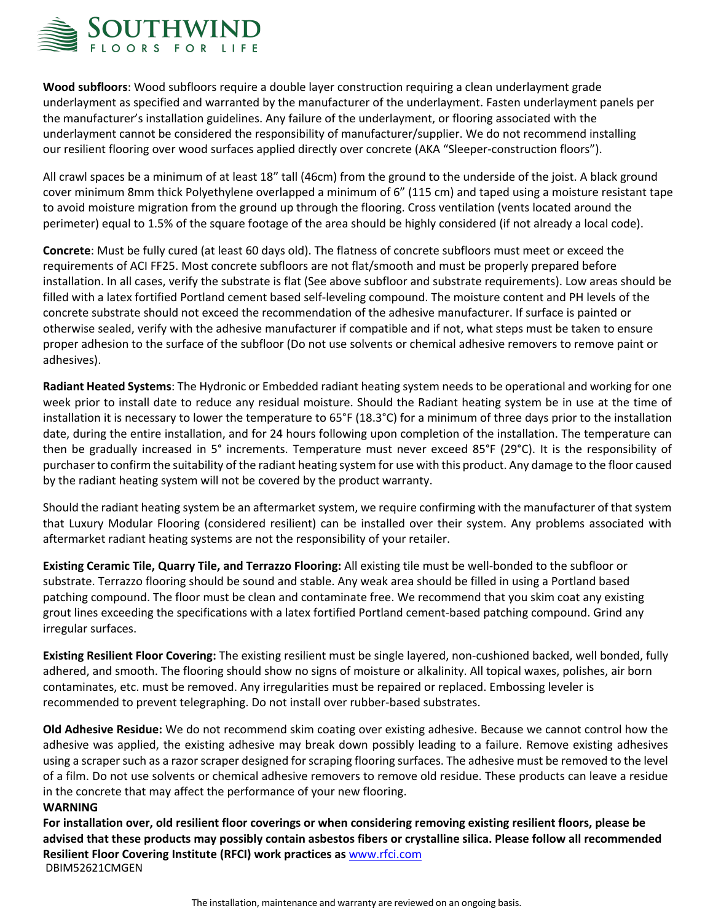

**Wood subfloors**: Wood subfloors require a double layer construction requiring a clean underlayment grade underlayment as specified and warranted by the manufacturer of the underlayment. Fasten underlayment panels per the manufacturer's installation guidelines. Any failure of the underlayment, or flooring associated with the underlayment cannot be considered the responsibility of manufacturer/supplier. We do not recommend installing our resilient flooring over wood surfaces applied directly over concrete (AKA "Sleeper-construction floors").

All crawl spaces be a minimum of at least 18" tall (46cm) from the ground to the underside of the joist. A black ground cover minimum 8mm thick Polyethylene overlapped a minimum of 6" (115 cm) and taped using a moisture resistant tape to avoid moisture migration from the ground up through the flooring. Cross ventilation (vents located around the perimeter) equal to 1.5% of the square footage of the area should be highly considered (if not already a local code).

**Concrete**: Must be fully cured (at least 60 days old). The flatness of concrete subfloors must meet or exceed the requirements of ACI FF25. Most concrete subfloors are not flat/smooth and must be properly prepared before installation. In all cases, verify the substrate is flat (See above subfloor and substrate requirements). Low areas should be filled with a latex fortified Portland cement based self-leveling compound. The moisture content and PH levels of the concrete substrate should not exceed the recommendation of the adhesive manufacturer. If surface is painted or otherwise sealed, verify with the adhesive manufacturer if compatible and if not, what steps must be taken to ensure proper adhesion to the surface of the subfloor (Do not use solvents or chemical adhesive removers to remove paint or adhesives).

**Radiant Heated Systems**: The Hydronic or Embedded radiant heating system needs to be operational and working for one week prior to install date to reduce any residual moisture. Should the Radiant heating system be in use at the time of installation it is necessary to lower the temperature to 65°F (18.3°C) for a minimum of three days prior to the installation date, during the entire installation, and for 24 hours following upon completion of the installation. The temperature can then be gradually increased in 5° increments. Temperature must never exceed 85°F (29°C). It is the responsibility of purchaserto confirm the suitability of the radiant heating system for use with this product. Any damage to the floor caused by the radiant heating system will not be covered by the product warranty.

Should the radiant heating system be an aftermarket system, we require confirming with the manufacturer of that system that Luxury Modular Flooring (considered resilient) can be installed over their system. Any problems associated with aftermarket radiant heating systems are not the responsibility of your retailer.

**Existing Ceramic Tile, Quarry Tile, and Terrazzo Flooring:** All existing tile must be well-bonded to the subfloor or substrate. Terrazzo flooring should be sound and stable. Any weak area should be filled in using a Portland based patching compound. The floor must be clean and contaminate free. We recommend that you skim coat any existing grout lines exceeding the specifications with a latex fortified Portland cement-based patching compound. Grind any irregular surfaces.

**Existing Resilient Floor Covering:** The existing resilient must be single layered, non-cushioned backed, well bonded, fully adhered, and smooth. The flooring should show no signs of moisture or alkalinity. All topical waxes, polishes, air born contaminates, etc. must be removed. Any irregularities must be repaired or replaced. Embossing leveler is recommended to prevent telegraphing. Do not install over rubber-based substrates.

**Old Adhesive Residue:** We do not recommend skim coating over existing adhesive. Because we cannot control how the adhesive was applied, the existing adhesive may break down possibly leading to a failure. Remove existing adhesives using a scraper such as a razor scraper designed for scraping flooring surfaces. The adhesive must be removed to the level of a film. Do not use solvents or chemical adhesive removers to remove old residue. These products can leave a residue in the concrete that may affect the performance of your new flooring. **WARNING**

# DBIM52621CMGEN **For installation over, old resilient floor coverings or when considering removing existing resilient floors, please be advised that these products may possibly contain asbestos fibers or crystalline silica. Please follow all recommended Resilient Floor Covering Institute (RFCI) work practices as** www.rfci.com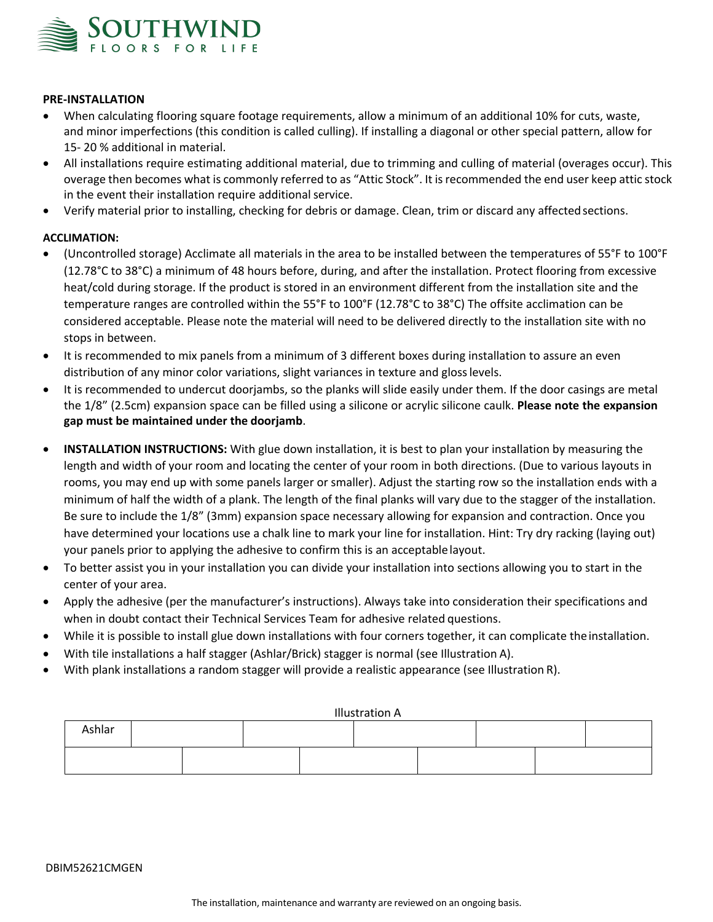

## **PRE-INSTALLATION**

- When calculating flooring square footage requirements, allow a minimum of an additional 10% for cuts, waste, and minor imperfections (this condition is called culling). If installing a diagonal or other special pattern, allow for 15- 20 % additional in material.
- All installations require estimating additional material, due to trimming and culling of material (overages occur). This overage then becomes what is commonly referred to as "Attic Stock". It isrecommended the end user keep attic stock in the event their installation require additional service.
- Verify material prior to installing, checking for debris or damage. Clean, trim or discard any affected sections.

#### **ACCLIMATION:**

- (Uncontrolled storage) Acclimate all materials in the area to be installed between the temperatures of 55°F to 100°F (12.78°C to 38°C) a minimum of 48 hours before, during, and after the installation. Protect flooring from excessive heat/cold during storage. If the product is stored in an environment different from the installation site and the temperature ranges are controlled within the 55°F to 100°F (12.78°C to 38°C) The offsite acclimation can be considered acceptable. Please note the material will need to be delivered directly to the installation site with no stops in between.
- It is recommended to mix panels from a minimum of 3 different boxes during installation to assure an even distribution of any minor color variations, slight variances in texture and glosslevels.
- It is recommended to undercut doorjambs, so the planks will slide easily under them. If the door casings are metal the 1/8" (2.5cm) expansion space can be filled using a silicone or acrylic silicone caulk. **Please note the expansion gap must be maintained under the doorjamb**.
- **INSTALLATION INSTRUCTIONS:** With glue down installation, it is best to plan your installation by measuring the length and width of your room and locating the center of your room in both directions. (Due to various layouts in rooms, you may end up with some panels larger or smaller). Adjust the starting row so the installation ends with a minimum of half the width of a plank. The length of the final planks will vary due to the stagger of the installation. Be sure to include the 1/8" (3mm) expansion space necessary allowing for expansion and contraction. Once you have determined your locations use a chalk line to mark your line for installation. Hint: Try dry racking (laying out) your panels prior to applying the adhesive to confirm this is an acceptablelayout.
- To better assist you in your installation you can divide your installation into sections allowing you to start in the center of your area.
- Apply the adhesive (per the manufacturer's instructions). Always take into consideration their specifications and when in doubt contact their Technical Services Team for adhesive related questions.
- While it is possible to install glue down installations with four corners together, it can complicate the installation.
- With tile installations a half stagger (Ashlar/Brick) stagger is normal (see Illustration A).
- With plank installations a random stagger will provide a realistic appearance (see Illustration R).

| <b>Illustration A</b> |  |  |  |  |  |  |  |  |  |  |  |  |  |
|-----------------------|--|--|--|--|--|--|--|--|--|--|--|--|--|
| Ashlar                |  |  |  |  |  |  |  |  |  |  |  |  |  |
|                       |  |  |  |  |  |  |  |  |  |  |  |  |  |

#### DBIM52621CMGEN